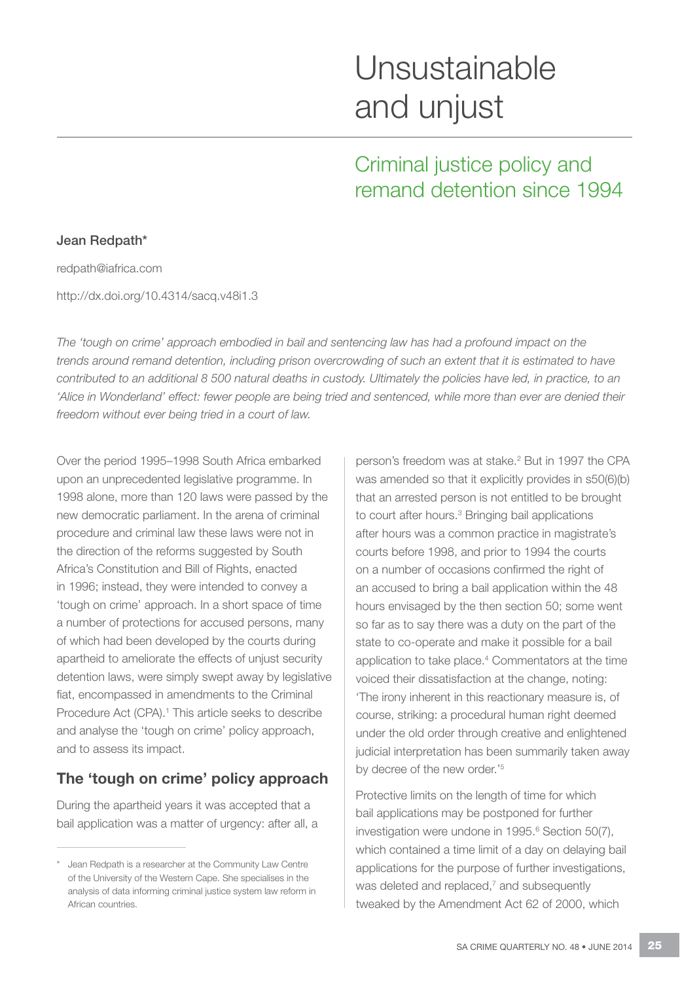# Unsustainable and unjust

# Criminal justice policy and remand detention since 1994

#### Jean Redpath\*

redpath@iafrica.com

http://dx.doi.org/10.4314/sacq.v48i1.3

*The 'tough on crime' approach embodied in bail and sentencing law has had a profound impact on the trends around remand detention, including prison overcrowding of such an extent that it is estimated to have*  contributed to an additional 8 500 natural deaths in custody. Ultimately the policies have led, in practice, to an 'Alice in Wonderland' effect: fewer people are being tried and sentenced, while more than ever are denied their *freedom without ever being tried in a court of law.* 

Over the period 1995–1998 South Africa embarked upon an unprecedented legislative programme. In 1998 alone, more than 120 laws were passed by the new democratic parliament. In the arena of criminal procedure and criminal law these laws were not in the direction of the reforms suggested by South Africa's Constitution and Bill of Rights, enacted in 1996; instead, they were intended to convey a 'tough on crime' approach. In a short space of time a number of protections for accused persons, many of which had been developed by the courts during apartheid to ameliorate the effects of unjust security detention laws, were simply swept away by legislative fiat, encompassed in amendments to the Criminal Procedure Act (CPA).<sup>1</sup> This article seeks to describe and analyse the 'tough on crime' policy approach, and to assess its impact.

# The 'tough on crime' policy approach

During the apartheid years it was accepted that a bail application was a matter of urgency: after all, a

person's freedom was at stake.<sup>2</sup> But in 1997 the CPA was amended so that it explicitly provides in s50(6)(b) that an arrested person is not entitled to be brought to court after hours.<sup>3</sup> Bringing bail applications after hours was a common practice in magistrate's courts before 1998, and prior to 1994 the courts on a number of occasions confirmed the right of an accused to bring a bail application within the 48 hours envisaged by the then section 50; some went so far as to say there was a duty on the part of the state to co-operate and make it possible for a bail application to take place.<sup>4</sup> Commentators at the time voiced their dissatisfaction at the change, noting: 'The irony inherent in this reactionary measure is, of course, striking: a procedural human right deemed under the old order through creative and enlightened judicial interpretation has been summarily taken away by decree of the new order.'5

Protective limits on the length of time for which bail applications may be postponed for further investigation were undone in 1995.<sup>6</sup> Section 50(7), which contained a time limit of a day on delaying bail applications for the purpose of further investigations, was deleted and replaced, $<sup>7</sup>$  and subsequently</sup> tweaked by the Amendment Act 62 of 2000, which

<sup>\*</sup> Jean Redpath is a researcher at the Community Law Centre of the University of the Western Cape. She specialises in the analysis of data informing criminal justice system law reform in African countries.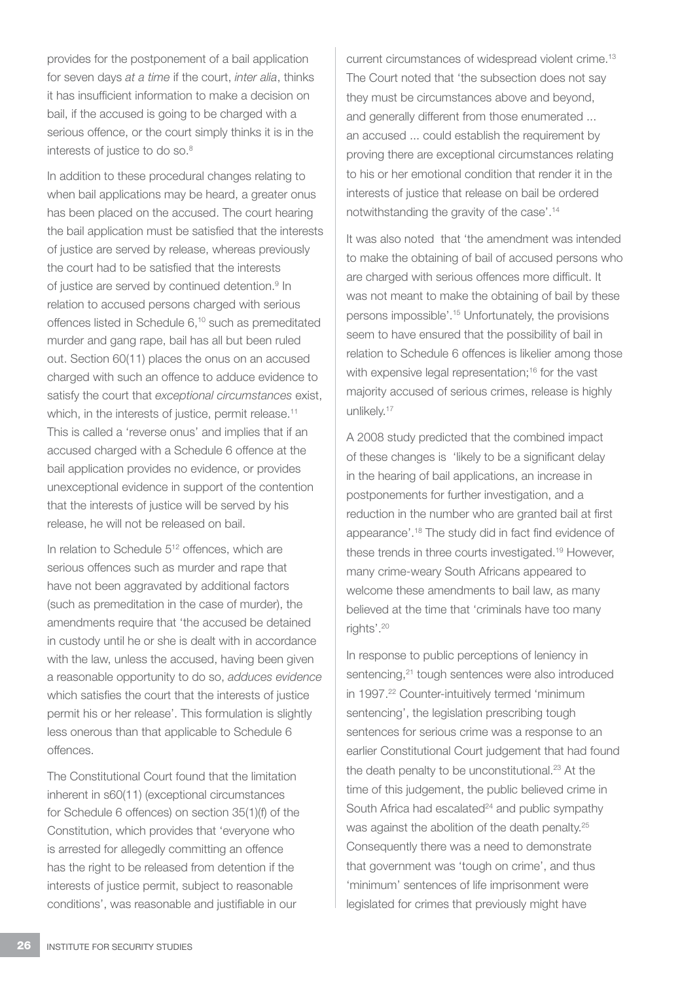provides for the postponement of a bail application for seven days *at a time* if the court, *inter alia*, thinks it has insufficient information to make a decision on bail, if the accused is going to be charged with a serious offence, or the court simply thinks it is in the interests of justice to do so.8

In addition to these procedural changes relating to when bail applications may be heard, a greater onus has been placed on the accused. The court hearing the bail application must be satisfied that the interests of justice are served by release, whereas previously the court had to be satisfied that the interests of justice are served by continued detention.<sup>9</sup> In relation to accused persons charged with serious offences listed in Schedule 6,<sup>10</sup> such as premeditated murder and gang rape, bail has all but been ruled out. Section 60(11) places the onus on an accused charged with such an offence to adduce evidence to satisfy the court that *exceptional circumstances* exist, which, in the interests of justice, permit release.<sup>11</sup> This is called a 'reverse onus' and implies that if an accused charged with a Schedule 6 offence at the bail application provides no evidence, or provides unexceptional evidence in support of the contention that the interests of justice will be served by his release, he will not be released on bail.

In relation to Schedule 5<sup>12</sup> offences, which are serious offences such as murder and rape that have not been aggravated by additional factors (such as premeditation in the case of murder), the amendments require that 'the accused be detained in custody until he or she is dealt with in accordance with the law, unless the accused, having been given a reasonable opportunity to do so, *adduces evidence* which satisfies the court that the interests of justice permit his or her release'. This formulation is slightly less onerous than that applicable to Schedule 6 offences.

The Constitutional Court found that the limitation inherent in s60(11) (exceptional circumstances for Schedule 6 offences) on section 35(1)(f) of the Constitution, which provides that 'everyone who is arrested for allegedly committing an offence has the right to be released from detention if the interests of justice permit, subject to reasonable conditions', was reasonable and justifiable in our

current circumstances of widespread violent crime.13 The Court noted that 'the subsection does not say they must be circumstances above and beyond, and generally different from those enumerated ... an accused ... could establish the requirement by proving there are exceptional circumstances relating to his or her emotional condition that render it in the interests of justice that release on bail be ordered notwithstanding the gravity of the case'.14

It was also noted that 'the amendment was intended to make the obtaining of bail of accused persons who are charged with serious offences more difficult. It was not meant to make the obtaining of bail by these persons impossible'.15 Unfortunately, the provisions seem to have ensured that the possibility of bail in relation to Schedule 6 offences is likelier among those with expensive legal representation:<sup>16</sup> for the vast majority accused of serious crimes, release is highly unlikely.<sup>17</sup>

A 2008 study predicted that the combined impact of these changes is 'likely to be a significant delay in the hearing of bail applications, an increase in postponements for further investigation, and a reduction in the number who are granted bail at first appearance'.18 The study did in fact find evidence of these trends in three courts investigated.19 However, many crime-weary South Africans appeared to welcome these amendments to bail law, as many believed at the time that 'criminals have too many rights'.20

In response to public perceptions of leniency in sentencing,<sup>21</sup> tough sentences were also introduced in 1997.<sup>22</sup> Counter-intuitively termed 'minimum sentencing', the legislation prescribing tough sentences for serious crime was a response to an earlier Constitutional Court judgement that had found the death penalty to be unconstitutional.<sup>23</sup> At the time of this judgement, the public believed crime in South Africa had escalated $24$  and public sympathy was against the abolition of the death penalty.<sup>25</sup> Consequently there was a need to demonstrate that government was 'tough on crime', and thus 'minimum' sentences of life imprisonment were legislated for crimes that previously might have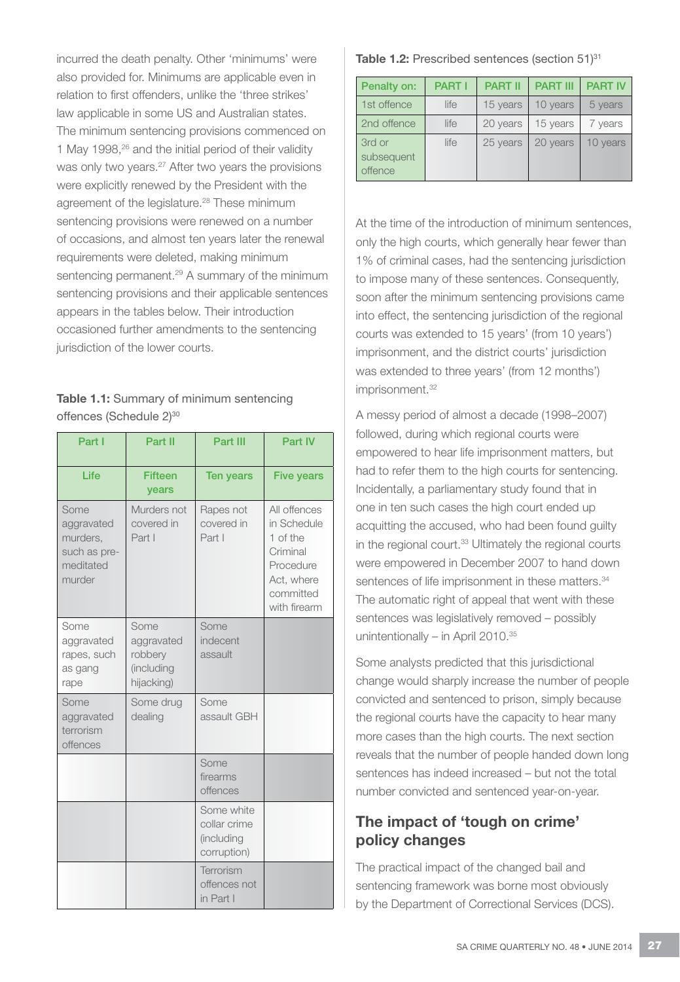incurred the death penalty. Other 'minimums' were also provided for. Minimums are applicable even in relation to first offenders, unlike the 'three strikes' law applicable in some US and Australian states. The minimum sentencing provisions commenced on 1 May 1998,<sup>26</sup> and the initial period of their validity was only two years.<sup>27</sup> After two years the provisions were explicitly renewed by the President with the agreement of the legislature.<sup>28</sup> These minimum sentencing provisions were renewed on a number of occasions, and almost ten years later the renewal requirements were deleted, making minimum sentencing permanent.<sup>29</sup> A summary of the minimum sentencing provisions and their applicable sentences appears in the tables below. Their introduction occasioned further amendments to the sentencing jurisdiction of the lower courts.

Table 1.1: Summary of minimum sentencing offences (Schedule 2)<sup>30</sup>

| Part I                                                                | Part II                                                          | Part III                                                | Part IV                                                                                                     |
|-----------------------------------------------------------------------|------------------------------------------------------------------|---------------------------------------------------------|-------------------------------------------------------------------------------------------------------------|
| Life                                                                  | <b>Fifteen</b><br>years                                          | <b>Ten years</b>                                        | <b>Five years</b>                                                                                           |
| Some<br>aggravated<br>murders,<br>such as pre-<br>meditated<br>murder | Murders not<br>covered in<br>Part I                              | Rapes not<br>covered in<br>Part I                       | All offences<br>in Schedule<br>1 of the<br>Criminal<br>Procedure<br>Act, where<br>committed<br>with firearm |
| Some<br>aggravated<br>rapes, such<br>as gang<br>rape                  | Some<br>aggravated<br>robbery<br><i>(including</i><br>hijacking) | Some<br>indecent<br>assault                             |                                                                                                             |
| Some<br>aggravated<br>terrorism<br>offences                           | Some drug<br>dealing                                             | Some<br>assault GBH                                     |                                                                                                             |
|                                                                       |                                                                  | Some<br>firearms<br>offences                            |                                                                                                             |
|                                                                       |                                                                  | Some white<br>collar crime<br>(including<br>corruption) |                                                                                                             |
|                                                                       |                                                                  | Terrorism<br>offences not<br>in Part I                  |                                                                                                             |

#### Table 1.2: Prescribed sentences (section 51)<sup>31</sup>

| Penalty on:                     | <b>PART I</b> | <b>PART II</b> | <b>PART III</b> | <b>PART IV</b> |
|---------------------------------|---------------|----------------|-----------------|----------------|
| 1st offence                     | life          | 15 years       | 10 years        | 5 years        |
| 2nd offence                     | life          | 20 years       | 15 years        | 7 years        |
| 3rd or<br>subsequent<br>offence | life          | 25 years       | 20 years        | 10 years       |

At the time of the introduction of minimum sentences, only the high courts, which generally hear fewer than 1% of criminal cases, had the sentencing jurisdiction to impose many of these sentences. Consequently, soon after the minimum sentencing provisions came into effect, the sentencing jurisdiction of the regional courts was extended to 15 years' (from 10 years') imprisonment, and the district courts' jurisdiction was extended to three years' (from 12 months') imprisonment.<sup>32</sup>

A messy period of almost a decade (1998–2007) followed, during which regional courts were empowered to hear life imprisonment matters, but had to refer them to the high courts for sentencing. Incidentally, a parliamentary study found that in one in ten such cases the high court ended up acquitting the accused, who had been found guilty in the regional court.<sup>33</sup> Ultimately the regional courts were empowered in December 2007 to hand down sentences of life imprisonment in these matters.<sup>34</sup> The automatic right of appeal that went with these sentences was legislatively removed – possibly unintentionally – in April 2010.<sup>35</sup>

Some analysts predicted that this jurisdictional change would sharply increase the number of people convicted and sentenced to prison, simply because the regional courts have the capacity to hear many more cases than the high courts. The next section reveals that the number of people handed down long sentences has indeed increased – but not the total number convicted and sentenced year-on-year.

# The impact of 'tough on crime' policy changes

The practical impact of the changed bail and sentencing framework was borne most obviously by the Department of Correctional Services (DCS).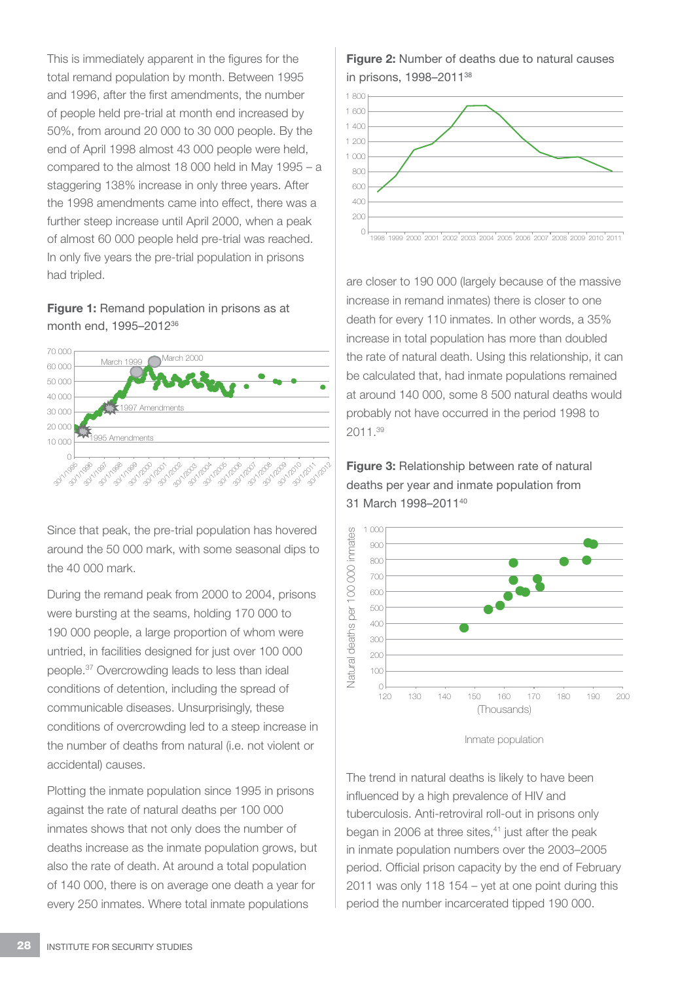This is immediately apparent in the figures for the total remand population by month. Between 1995 and 1996, after the first amendments, the number of people held pre-trial at month end increased by 50%, from around 20 000 to 30 000 people. By the end of April 1998 almost 43 000 people were held, compared to the almost 18 000 held in May 1995 – a staggering 138% increase in only three years. After the 1998 amendments came into effect, there was a further steep increase until April 2000, when a peak of almost 60 000 people held pre-trial was reached. In only five years the pre-trial population in prisons had tripled.

#### Figure 1: Remand population in prisons as at month end, 1995–2012<sup>36</sup>



Since that peak, the pre-trial population has hovered around the 50 000 mark, with some seasonal dips to the 40 000 mark.

During the remand peak from 2000 to 2004, prisons were bursting at the seams, holding 170 000 to 190 000 people, a large proportion of whom were untried, in facilities designed for just over 100 000 people.37 Overcrowding leads to less than ideal conditions of detention, including the spread of communicable diseases. Unsurprisingly, these conditions of overcrowding led to a steep increase in the number of deaths from natural (i.e. not violent or accidental) causes.

Plotting the inmate population since 1995 in prisons against the rate of natural deaths per 100 000 inmates shows that not only does the number of deaths increase as the inmate population grows, but also the rate of death. At around a total population of 140 000, there is on average one death a year for every 250 inmates. Where total inmate populations





are closer to 190 000 (largely because of the massive increase in remand inmates) there is closer to one death for every 110 inmates. In other words, a 35% increase in total population has more than doubled the rate of natural death. Using this relationship, it can be calculated that, had inmate populations remained at around 140 000, some 8 500 natural deaths would probably not have occurred in the period 1998 to 2011.39

**Figure 3: Relationship between rate of natural** deaths per year and inmate population from 31 March 1998–201140



Inmate population

The trend in natural deaths is likely to have been influenced by a high prevalence of HIV and tuberculosis. Anti-retroviral roll-out in prisons only began in 2006 at three sites, $41$  just after the peak in inmate population numbers over the 2003–2005 period. Official prison capacity by the end of February 2011 was only 118 154 – yet at one point during this period the number incarcerated tipped 190 000.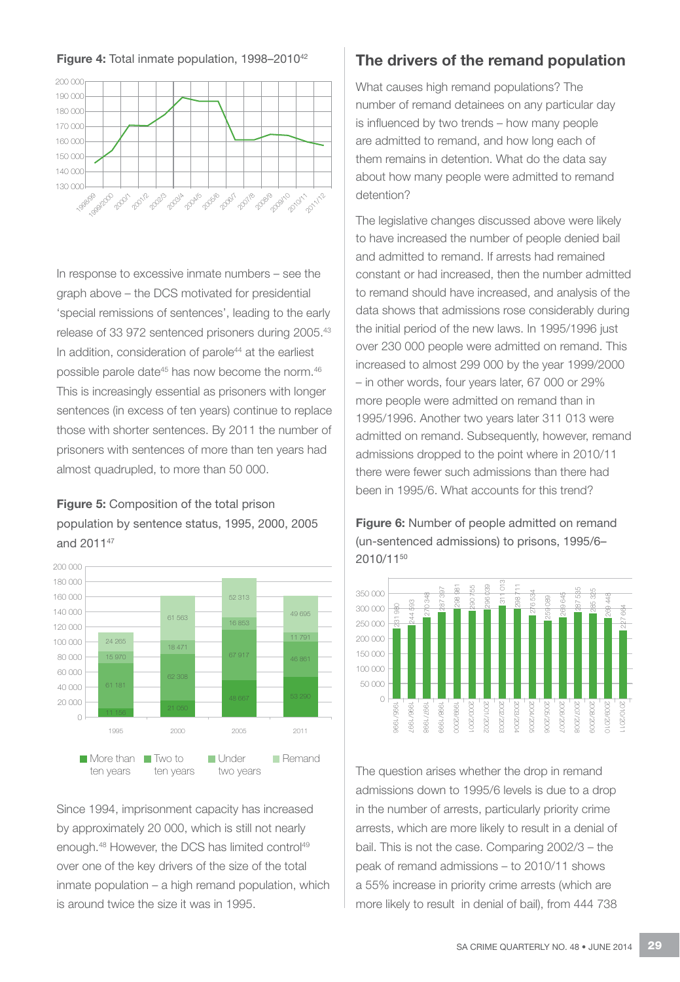



In response to excessive inmate numbers – see the graph above – the DCS motivated for presidential 'special remissions of sentences', leading to the early release of 33 972 sentenced prisoners during 2005.<sup>43</sup> In addition, consideration of parole<sup>44</sup> at the earliest possible parole date<sup>45</sup> has now become the norm.<sup>46</sup> This is increasingly essential as prisoners with longer sentences (in excess of ten years) continue to replace those with shorter sentences. By 2011 the number of prisoners with sentences of more than ten years had almost quadrupled, to more than 50 000.

# Figure 5: Composition of the total prison population by sentence status, 1995, 2000, 2005 and 2011<sup>47</sup>



Since 1994, imprisonment capacity has increased by approximately 20 000, which is still not nearly enough.<sup>48</sup> However, the DCS has limited control<sup>49</sup> over one of the key drivers of the size of the total inmate population – a high remand population, which is around twice the size it was in 1995.

# The drivers of the remand population

What causes high remand populations? The number of remand detainees on any particular day is influenced by two trends – how many people are admitted to remand, and how long each of them remains in detention. What do the data say about how many people were admitted to remand detention?

The legislative changes discussed above were likely to have increased the number of people denied bail and admitted to remand. If arrests had remained constant or had increased, then the number admitted to remand should have increased, and analysis of the data shows that admissions rose considerably during the initial period of the new laws. In 1995/1996 just over 230 000 people were admitted on remand. This increased to almost 299 000 by the year 1999/2000 – in other words, four years later, 67 000 or 29% more people were admitted on remand than in 1995/1996. Another two years later 311 013 were admitted on remand. Subsequently, however, remand admissions dropped to the point where in 2010/11 there were fewer such admissions than there had been in 1995/6. What accounts for this trend?

Figure 6: Number of people admitted on remand (un-sentenced admissions) to prisons, 1995/6– 2010/1150



The question arises whether the drop in remand admissions down to 1995/6 levels is due to a drop in the number of arrests, particularly priority crime arrests, which are more likely to result in a denial of bail. This is not the case. Comparing 2002/3 – the peak of remand admissions – to 2010/11 shows a 55% increase in priority crime arrests (which are more likely to result in denial of bail), from 444 738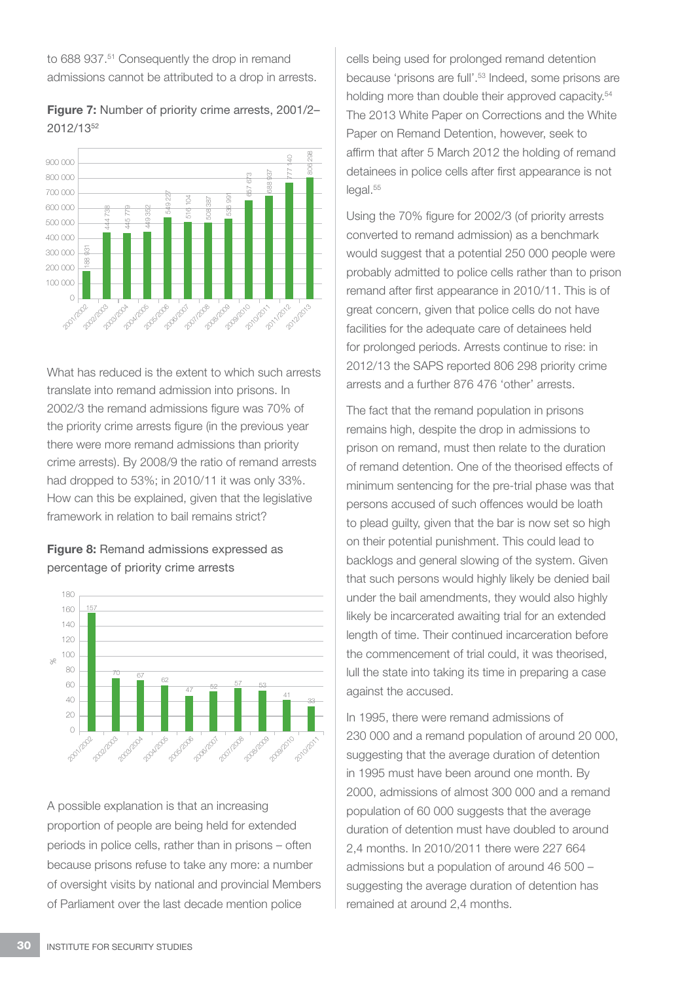to 688 937.<sup>51</sup> Consequently the drop in remand admissions cannot be attributed to a drop in arrests.

Figure 7: Number of priority crime arrests, 2001/2– 2012/1352



What has reduced is the extent to which such arrests translate into remand admission into prisons. In 2002/3 the remand admissions figure was 70% of the priority crime arrests figure (in the previous year there were more remand admissions than priority crime arrests). By 2008/9 the ratio of remand arrests had dropped to 53%; in 2010/11 it was only 33%. How can this be explained, given that the legislative framework in relation to bail remains strict?

### Figure 8: Remand admissions expressed as percentage of priority crime arrests



A possible explanation is that an increasing proportion of people are being held for extended periods in police cells, rather than in prisons – often because prisons refuse to take any more: a number of oversight visits by national and provincial Members of Parliament over the last decade mention police

cells being used for prolonged remand detention because 'prisons are full'.<sup>53</sup> Indeed, some prisons are holding more than double their approved capacity.<sup>54</sup> The 2013 White Paper on Corrections and the White Paper on Remand Detention, however, seek to affirm that after 5 March 2012 the holding of remand detainees in police cells after first appearance is not legal.<sup>55</sup>

Using the 70% figure for 2002/3 (of priority arrests converted to remand admission) as a benchmark would suggest that a potential 250 000 people were probably admitted to police cells rather than to prison remand after first appearance in 2010/11. This is of great concern, given that police cells do not have facilities for the adequate care of detainees held for prolonged periods. Arrests continue to rise: in 2012/13 the SAPS reported 806 298 priority crime arrests and a further 876 476 'other' arrests.

The fact that the remand population in prisons remains high, despite the drop in admissions to prison on remand, must then relate to the duration of remand detention. One of the theorised effects of minimum sentencing for the pre-trial phase was that persons accused of such offences would be loath to plead guilty, given that the bar is now set so high on their potential punishment. This could lead to backlogs and general slowing of the system. Given that such persons would highly likely be denied bail under the bail amendments, they would also highly likely be incarcerated awaiting trial for an extended length of time. Their continued incarceration before the commencement of trial could, it was theorised, lull the state into taking its time in preparing a case against the accused.

In 1995, there were remand admissions of 230 000 and a remand population of around 20 000, suggesting that the average duration of detention in 1995 must have been around one month. By 2000, admissions of almost 300 000 and a remand population of 60 000 suggests that the average duration of detention must have doubled to around 2,4 months. In 2010/2011 there were 227 664 admissions but a population of around 46 500 – suggesting the average duration of detention has remained at around 2,4 months.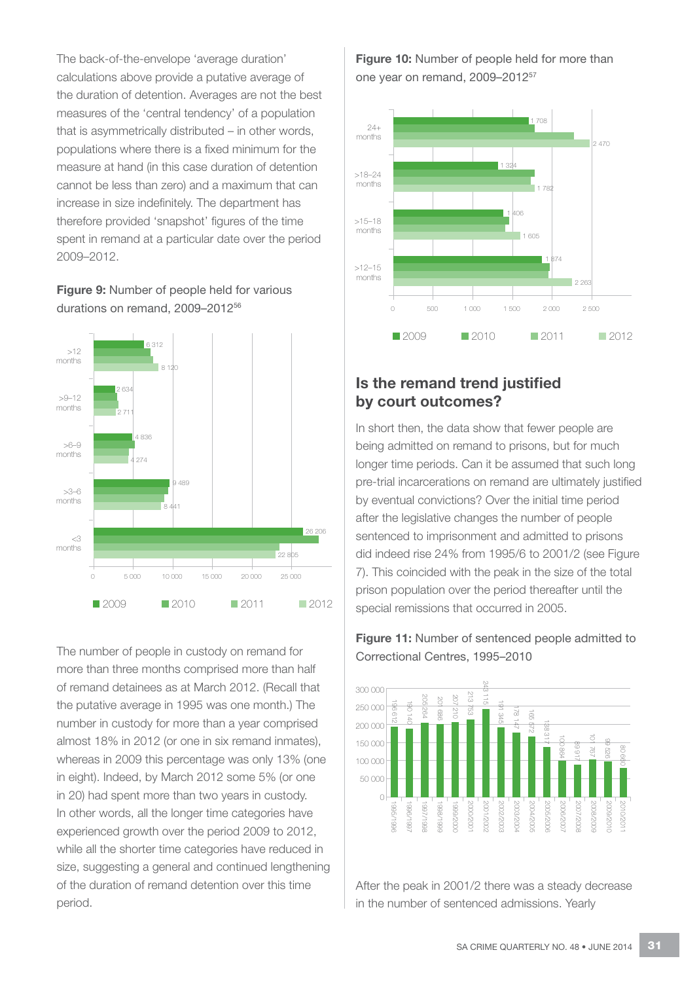The back-of-the-envelope 'average duration' calculations above provide a putative average of the duration of detention. Averages are not the best measures of the 'central tendency' of a population that is asymmetrically distributed – in other words, populations where there is a fixed minimum for the measure at hand (in this case duration of detention cannot be less than zero) and a maximum that can increase in size indefinitely. The department has therefore provided 'snapshot' figures of the time spent in remand at a particular date over the period 2009–2012.

Figure 9: Number of people held for various durations on remand, 2009–2012<sup>56</sup>



The number of people in custody on remand for more than three months comprised more than half of remand detainees as at March 2012. (Recall that the putative average in 1995 was one month.) The number in custody for more than a year comprised almost 18% in 2012 (or one in six remand inmates), whereas in 2009 this percentage was only 13% (one in eight). Indeed, by March 2012 some 5% (or one in 20) had spent more than two years in custody. In other words, all the longer time categories have experienced growth over the period 2009 to 2012, while all the shorter time categories have reduced in size, suggesting a general and continued lengthening of the duration of remand detention over this time period.

Figure 10: Number of people held for more than one year on remand, 2009-2012<sup>57</sup>



# Is the remand trend justified by court outcomes?

In short then, the data show that fewer people are being admitted on remand to prisons, but for much longer time periods. Can it be assumed that such long pre-trial incarcerations on remand are ultimately justified by eventual convictions? Over the initial time period after the legislative changes the number of people sentenced to imprisonment and admitted to prisons did indeed rise 24% from 1995/6 to 2001/2 (see Figure 7). This coincided with the peak in the size of the total prison population over the period thereafter until the special remissions that occurred in 2005.

### Figure 11: Number of sentenced people admitted to Correctional Centres, 1995–2010



After the peak in 2001/2 there was a steady decrease in the number of sentenced admissions. Yearly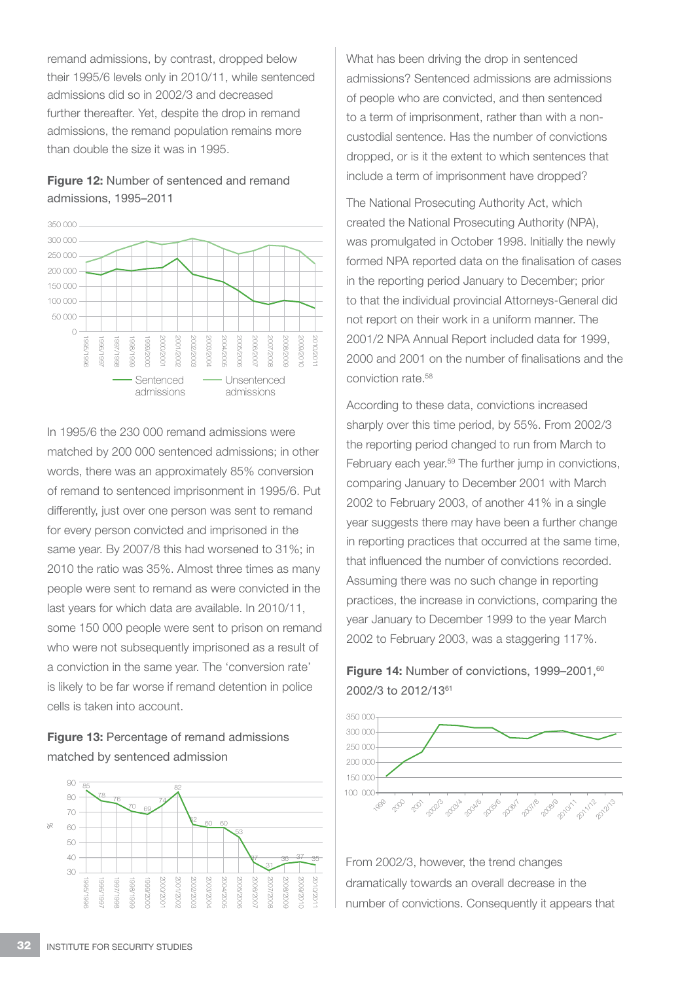remand admissions, by contrast, dropped below their 1995/6 levels only in 2010/11, while sentenced admissions did so in 2002/3 and decreased further thereafter. Yet, despite the drop in remand admissions, the remand population remains more than double the size it was in 1995.





In 1995/6 the 230 000 remand admissions were matched by 200 000 sentenced admissions; in other words, there was an approximately 85% conversion of remand to sentenced imprisonment in 1995/6. Put differently, just over one person was sent to remand for every person convicted and imprisoned in the same year. By 2007/8 this had worsened to 31%; in 2010 the ratio was 35%. Almost three times as many people were sent to remand as were convicted in the last years for which data are available. In 2010/11, some 150 000 people were sent to prison on remand who were not subsequently imprisoned as a result of a conviction in the same year. The 'conversion rate' is likely to be far worse if remand detention in police cells is taken into account.

## Figure 13: Percentage of remand admissions matched by sentenced admission



What has been driving the drop in sentenced admissions? Sentenced admissions are admissions of people who are convicted, and then sentenced to a term of imprisonment, rather than with a noncustodial sentence. Has the number of convictions dropped, or is it the extent to which sentences that include a term of imprisonment have dropped?

The National Prosecuting Authority Act, which created the National Prosecuting Authority (NPA), was promulgated in October 1998. Initially the newly formed NPA reported data on the finalisation of cases in the reporting period January to December; prior to that the individual provincial Attorneys-General did not report on their work in a uniform manner. The 2001/2 NPA Annual Report included data for 1999, 2000 and 2001 on the number of finalisations and the conviction rate.58

According to these data, convictions increased sharply over this time period, by 55%. From 2002/3 the reporting period changed to run from March to February each year.<sup>59</sup> The further jump in convictions, comparing January to December 2001 with March 2002 to February 2003, of another 41% in a single year suggests there may have been a further change in reporting practices that occurred at the same time, that influenced the number of convictions recorded. Assuming there was no such change in reporting practices, the increase in convictions, comparing the year January to December 1999 to the year March 2002 to February 2003, was a staggering 117%.

Figure 14: Number of convictions, 1999-2001,<sup>60</sup> 2002/3 to 2012/1361



From 2002/3, however, the trend changes dramatically towards an overall decrease in the number of convictions. Consequently it appears that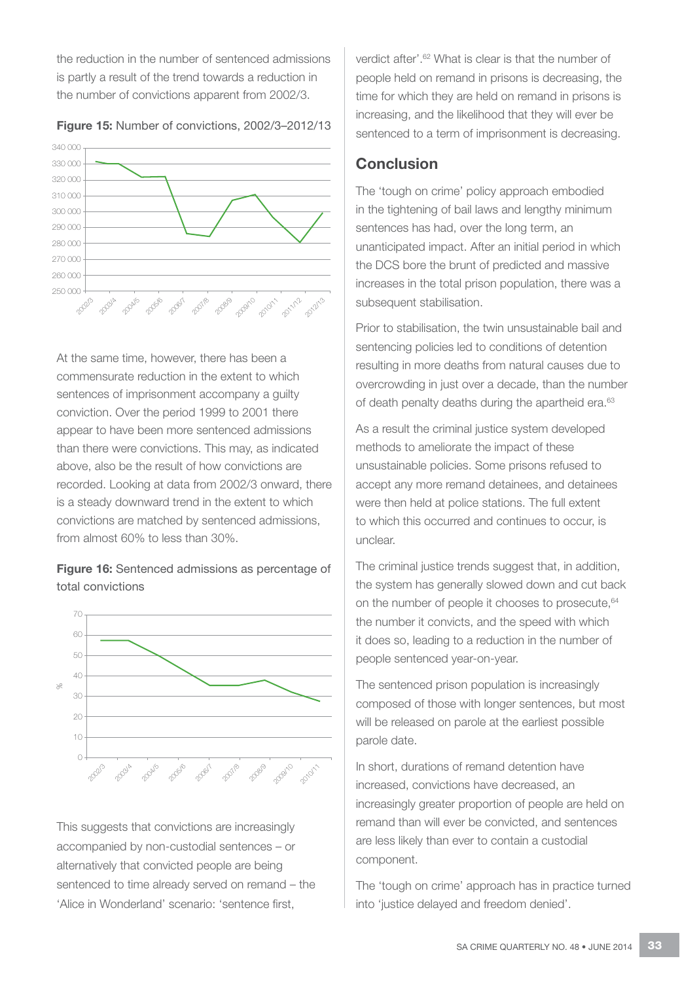the reduction in the number of sentenced admissions is partly a result of the trend towards a reduction in the number of convictions apparent from 2002/3.





At the same time, however, there has been a commensurate reduction in the extent to which sentences of imprisonment accompany a guilty conviction. Over the period 1999 to 2001 there appear to have been more sentenced admissions than there were convictions. This may, as indicated above, also be the result of how convictions are recorded. Looking at data from 2002/3 onward, there is a steady downward trend in the extent to which convictions are matched by sentenced admissions, from almost 60% to less than 30%.

#### Figure 16: Sentenced admissions as percentage of total convictions



This suggests that convictions are increasingly accompanied by non-custodial sentences – or alternatively that convicted people are being sentenced to time already served on remand – the 'Alice in Wonderland' scenario: 'sentence first,

verdict after'.62 What is clear is that the number of people held on remand in prisons is decreasing, the time for which they are held on remand in prisons is increasing, and the likelihood that they will ever be sentenced to a term of imprisonment is decreasing.

# Conclusion

The 'tough on crime' policy approach embodied in the tightening of bail laws and lengthy minimum sentences has had, over the long term, an unanticipated impact. After an initial period in which the DCS bore the brunt of predicted and massive increases in the total prison population, there was a subsequent stabilisation.

Prior to stabilisation, the twin unsustainable bail and sentencing policies led to conditions of detention resulting in more deaths from natural causes due to overcrowding in just over a decade, than the number of death penalty deaths during the apartheid era.<sup>63</sup>

As a result the criminal justice system developed methods to ameliorate the impact of these unsustainable policies. Some prisons refused to accept any more remand detainees, and detainees were then held at police stations. The full extent to which this occurred and continues to occur, is unclear.

The criminal justice trends suggest that, in addition, the system has generally slowed down and cut back on the number of people it chooses to prosecute, 64 the number it convicts, and the speed with which it does so, leading to a reduction in the number of people sentenced year-on-year.

The sentenced prison population is increasingly composed of those with longer sentences, but most will be released on parole at the earliest possible parole date.

In short, durations of remand detention have increased, convictions have decreased, an increasingly greater proportion of people are held on remand than will ever be convicted, and sentences are less likely than ever to contain a custodial component.

The 'tough on crime' approach has in practice turned into 'justice delayed and freedom denied'.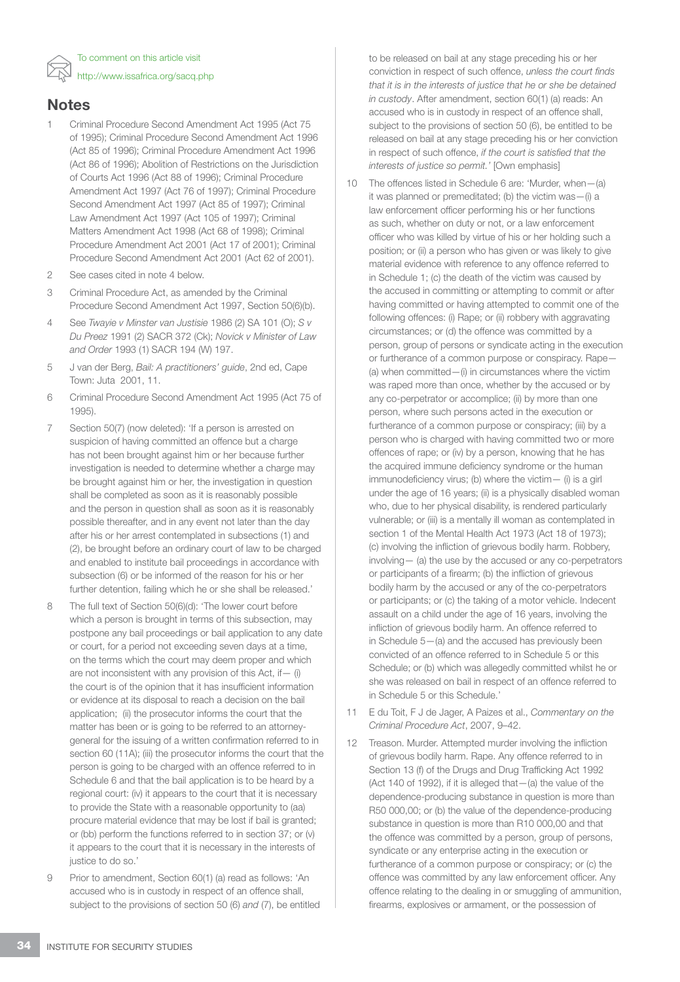

To comment on this article visit http://www.issafrica.org/sacq.php

#### **Notes**

- 1 Criminal Procedure Second Amendment Act 1995 (Act 75 of 1995); Criminal Procedure Second Amendment Act 1996 (Act 85 of 1996); Criminal Procedure Amendment Act 1996 (Act 86 of 1996); Abolition of Restrictions on the Jurisdiction of Courts Act 1996 (Act 88 of 1996); Criminal Procedure Amendment Act 1997 (Act 76 of 1997); Criminal Procedure Second Amendment Act 1997 (Act 85 of 1997); Criminal Law Amendment Act 1997 (Act 105 of 1997); Criminal Matters Amendment Act 1998 (Act 68 of 1998); Criminal Procedure Amendment Act 2001 (Act 17 of 2001); Criminal Procedure Second Amendment Act 2001 (Act 62 of 2001).
- 2 See cases cited in note 4 below.
- 3 Criminal Procedure Act, as amended by the Criminal Procedure Second Amendment Act 1997, Section 50(6)(b).
- 4 See *Twayie v Minster van Justisie* 1986 (2) SA 101 (O); *S v Du Preez* 1991 (2) SACR 372 (Ck); *Novick v Minister of Law and Order* 1993 (1) SACR 194 (W) 197.
- 5 J van der Berg, *Bail: A practitioners' guide*, 2nd ed, Cape Town: Juta 2001, 11.
- 6 Criminal Procedure Second Amendment Act 1995 (Act 75 of 1995).
- 7 Section 50(7) (now deleted): 'If a person is arrested on suspicion of having committed an offence but a charge has not been brought against him or her because further investigation is needed to determine whether a charge may be brought against him or her, the investigation in question shall be completed as soon as it is reasonably possible and the person in question shall as soon as it is reasonably possible thereafter, and in any event not later than the day after his or her arrest contemplated in subsections (1) and (2), be brought before an ordinary court of law to be charged and enabled to institute bail proceedings in accordance with subsection (6) or be informed of the reason for his or her further detention, failing which he or she shall be released.'
- 8 The full text of Section 50(6)(d): 'The lower court before which a person is brought in terms of this subsection, may postpone any bail proceedings or bail application to any date or court, for a period not exceeding seven days at a time, on the terms which the court may deem proper and which are not inconsistent with any provision of this Act, if  $-$  (i) the court is of the opinion that it has insufficient information or evidence at its disposal to reach a decision on the bail application; (ii) the prosecutor informs the court that the matter has been or is going to be referred to an attorneygeneral for the issuing of a written confirmation referred to in section 60 (11A); (iii) the prosecutor informs the court that the person is going to be charged with an offence referred to in Schedule 6 and that the bail application is to be heard by a regional court: (iv) it appears to the court that it is necessary to provide the State with a reasonable opportunity to (aa) procure material evidence that may be lost if bail is granted; or (bb) perform the functions referred to in section 37; or (v) it appears to the court that it is necessary in the interests of justice to do so.'
- 9 Prior to amendment, Section 60(1) (a) read as follows: 'An accused who is in custody in respect of an offence shall, subject to the provisions of section 50 (6) *and* (7), be entitled

to be released on bail at any stage preceding his or her conviction in respect of such offence, *unless the court finds that it is in the interests of justice that he or she be detained in custody*. After amendment, section 60(1) (a) reads: An accused who is in custody in respect of an offence shall, subject to the provisions of section 50 (6), be entitled to be released on bail at any stage preceding his or her conviction in respect of such offence, *if the court is satisfied that the interests of justice so permit.'* [Own emphasis]

- 10 The offences listed in Schedule 6 are: 'Murder, when—(a) it was planned or premeditated; (b) the victim was—(i) a law enforcement officer performing his or her functions as such, whether on duty or not, or a law enforcement officer who was killed by virtue of his or her holding such a position; or (ii) a person who has given or was likely to give material evidence with reference to any offence referred to in Schedule 1; (c) the death of the victim was caused by the accused in committing or attempting to commit or after having committed or having attempted to commit one of the following offences: (i) Rape; or (ii) robbery with aggravating circumstances; or (d) the offence was committed by a person, group of persons or syndicate acting in the execution or furtherance of a common purpose or conspiracy. Rape— (a) when committed—(i) in circumstances where the victim was raped more than once, whether by the accused or by any co-perpetrator or accomplice; (ii) by more than one person, where such persons acted in the execution or furtherance of a common purpose or conspiracy; (iii) by a person who is charged with having committed two or more offences of rape; or (iv) by a person, knowing that he has the acquired immune deficiency syndrome or the human immunodeficiency virus; (b) where the victim— (i) is a girl under the age of 16 years; (ii) is a physically disabled woman who, due to her physical disability, is rendered particularly vulnerable; or (iii) is a mentally ill woman as contemplated in section 1 of the Mental Health Act 1973 (Act 18 of 1973); (c) involving the infliction of grievous bodily harm. Robbery, involving— (a) the use by the accused or any co-perpetrators or participants of a firearm; (b) the infliction of grievous bodily harm by the accused or any of the co-perpetrators or participants; or (c) the taking of a motor vehicle. Indecent assault on a child under the age of 16 years, involving the infliction of grievous bodily harm. An offence referred to in Schedule 5—(a) and the accused has previously been convicted of an offence referred to in Schedule 5 or this Schedule; or (b) which was allegedly committed whilst he or she was released on bail in respect of an offence referred to in Schedule 5 or this Schedule.'
- 11 E du Toit, F J de Jager, A Paizes et al., *Commentary on the Criminal Procedure Act*, 2007, 9–42.
- 12 Treason. Murder. Attempted murder involving the infliction of grievous bodily harm. Rape. Any offence referred to in Section 13 (f) of the Drugs and Drug Trafficking Act 1992 (Act 140 of 1992), if it is alleged that—(a) the value of the dependence-producing substance in question is more than R50 000,00; or (b) the value of the dependence-producing substance in question is more than R10 000,00 and that the offence was committed by a person, group of persons, syndicate or any enterprise acting in the execution or furtherance of a common purpose or conspiracy; or (c) the offence was committed by any law enforcement officer. Any offence relating to the dealing in or smuggling of ammunition, firearms, explosives or armament, or the possession of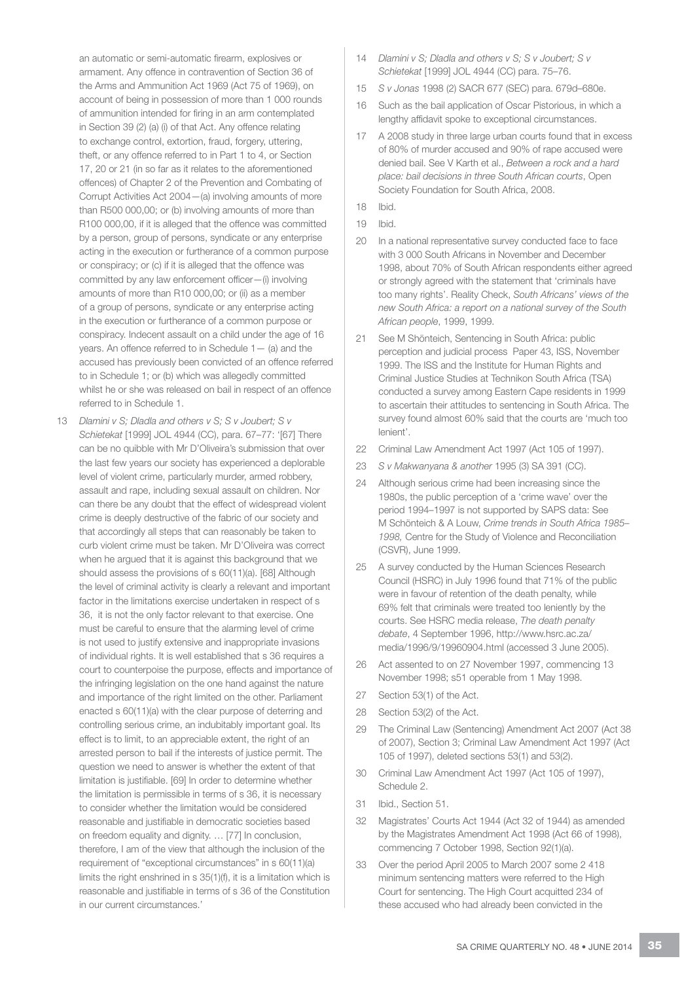an automatic or semi-automatic firearm, explosives or armament. Any offence in contravention of Section 36 of the Arms and Ammunition Act 1969 (Act 75 of 1969), on account of being in possession of more than 1 000 rounds of ammunition intended for firing in an arm contemplated in Section 39 (2) (a) (i) of that Act. Any offence relating to exchange control, extortion, fraud, forgery, uttering, theft, or any offence referred to in Part 1 to 4, or Section 17, 20 or 21 (in so far as it relates to the aforementioned offences) of Chapter 2 of the Prevention and Combating of Corrupt Activities Act 2004—(a) involving amounts of more than R500 000,00; or (b) involving amounts of more than R100 000,00, if it is alleged that the offence was committed by a person, group of persons, syndicate or any enterprise acting in the execution or furtherance of a common purpose or conspiracy; or (c) if it is alleged that the offence was committed by any law enforcement officer—(i) involving amounts of more than R10 000,00; or (ii) as a member of a group of persons, syndicate or any enterprise acting in the execution or furtherance of a common purpose or conspiracy. Indecent assault on a child under the age of 16 years. An offence referred to in Schedule 1— (a) and the accused has previously been convicted of an offence referred to in Schedule 1; or (b) which was allegedly committed whilst he or she was released on bail in respect of an offence referred to in Schedule 1.

13 *Dlamini v S; Dladla and others v S; S v Joubert; S v Schietekat* [1999] JOL 4944 (CC), para. 67–77: '[67] There can be no quibble with Mr D'Oliveira's submission that over the last few years our society has experienced a deplorable level of violent crime, particularly murder, armed robbery, assault and rape, including sexual assault on children. Nor can there be any doubt that the effect of widespread violent crime is deeply destructive of the fabric of our society and that accordingly all steps that can reasonably be taken to curb violent crime must be taken. Mr D'Oliveira was correct when he argued that it is against this background that we should assess the provisions of s 60(11)(a). [68] Although the level of criminal activity is clearly a relevant and important factor in the limitations exercise undertaken in respect of s 36, it is not the only factor relevant to that exercise. One must be careful to ensure that the alarming level of crime is not used to justify extensive and inappropriate invasions of individual rights. It is well established that s 36 requires a court to counterpoise the purpose, effects and importance of the infringing legislation on the one hand against the nature and importance of the right limited on the other. Parliament enacted s 60(11)(a) with the clear purpose of deterring and controlling serious crime, an indubitably important goal. Its effect is to limit, to an appreciable extent, the right of an arrested person to bail if the interests of justice permit. The question we need to answer is whether the extent of that limitation is justifiable. [69] In order to determine whether the limitation is permissible in terms of s 36, it is necessary to consider whether the limitation would be considered reasonable and justifiable in democratic societies based on freedom equality and dignity. … [77] In conclusion, therefore, I am of the view that although the inclusion of the requirement of "exceptional circumstances" in s 60(11)(a) limits the right enshrined in s 35(1)(f), it is a limitation which is reasonable and justifiable in terms of s 36 of the Constitution in our current circumstances.'

- 14 *Dlamini v S; Dladla and others v S; S v Joubert; S v Schietekat* [1999] JOL 4944 (CC) para. 75–76.
- 15 *S v Jonas* 1998 (2) SACR 677 (SEC) para. 679d–680e.
- 16 Such as the bail application of Oscar Pistorious, in which a lengthy affidavit spoke to exceptional circumstances.
- 17 A 2008 study in three large urban courts found that in excess of 80% of murder accused and 90% of rape accused were denied bail. See V Karth et al., *Between a rock and a hard place: bail decisions in three South African courts*, Open Society Foundation for South Africa, 2008.
- 18 Ibid.
- 19 Ibid.
- 20 In a national representative survey conducted face to face with 3 000 South Africans in November and December 1998, about 70% of South African respondents either agreed or strongly agreed with the statement that 'criminals have too many rights'. Reality Check, *South Africans' views of the new South Africa: a report on a national survey of the South African people*, 1999, 1999.
- 21 See M Shönteich, Sentencing in South Africa: public perception and judicial process Paper 43, ISS, November 1999. The ISS and the Institute for Human Rights and Criminal Justice Studies at Technikon South Africa (TSA) conducted a survey among Eastern Cape residents in 1999 to ascertain their attitudes to sentencing in South Africa. The survey found almost 60% said that the courts are 'much too lenient'.
- 22 Criminal Law Amendment Act 1997 (Act 105 of 1997).
- 23 *S v Makwanyana & another* 1995 (3) SA 391 (CC).
- 24 Although serious crime had been increasing since the 1980s, the public perception of a 'crime wave' over the period 1994–1997 is not supported by SAPS data: See M Schönteich & A Louw, *Crime trends in South Africa 1985– 1998,* Centre for the Study of Violence and Reconciliation (CSVR), June 1999.
- 25 A survey conducted by the Human Sciences Research Council (HSRC) in July 1996 found that 71% of the public were in favour of retention of the death penalty, while 69% felt that criminals were treated too leniently by the courts. See HSRC media release, *The death penalty debate*, 4 September 1996, http://www.hsrc.ac.za/ media/1996/9/19960904.html (accessed 3 June 2005).
- 26 Act assented to on 27 November 1997, commencing 13 November 1998; s51 operable from 1 May 1998.
- 27 Section 53(1) of the Act.
- 28 Section 53(2) of the Act.
- 29 The Criminal Law (Sentencing) Amendment Act 2007 (Act 38 of 2007), Section 3; Criminal Law Amendment Act 1997 (Act 105 of 1997), deleted sections 53(1) and 53(2).
- 30 Criminal Law Amendment Act 1997 (Act 105 of 1997), Schedule 2.
- 31 Ibid., Section 51.
- 32 Magistrates' Courts Act 1944 (Act 32 of 1944) as amended by the Magistrates Amendment Act 1998 (Act 66 of 1998), commencing 7 October 1998, Section 92(1)(a).
- 33 Over the period April 2005 to March 2007 some 2 418 minimum sentencing matters were referred to the High Court for sentencing. The High Court acquitted 234 of these accused who had already been convicted in the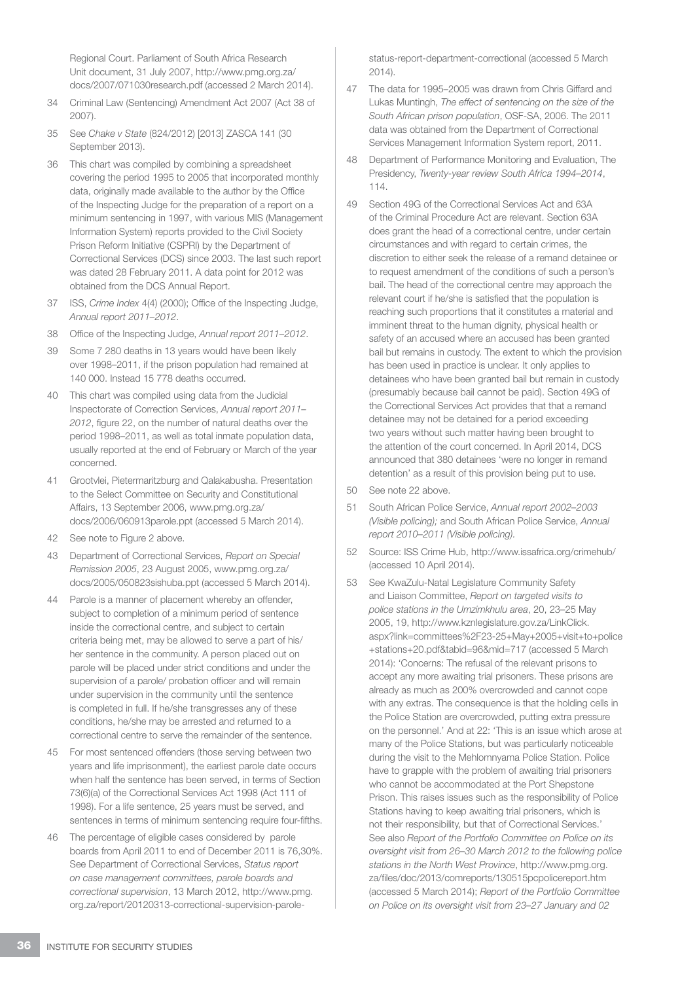Regional Court. Parliament of South Africa Research Unit document, 31 July 2007, http://www.pmg.org.za/ docs/2007/071030research.pdf (accessed 2 March 2014).

- 34 Criminal Law (Sentencing) Amendment Act 2007 (Act 38 of 2007).
- 35 See *Chake v State* (824/2012) [2013] ZASCA 141 (30 September 2013).
- 36 This chart was compiled by combining a spreadsheet covering the period 1995 to 2005 that incorporated monthly data, originally made available to the author by the Office of the Inspecting Judge for the preparation of a report on a minimum sentencing in 1997, with various MIS (Management Information System) reports provided to the Civil Society Prison Reform Initiative (CSPRI) by the Department of Correctional Services (DCS) since 2003. The last such report was dated 28 February 2011. A data point for 2012 was obtained from the DCS Annual Report.
- 37 ISS, *Crime Index* 4(4) (2000); Office of the Inspecting Judge, *Annual report 2011–2012*.
- 38 Office of the Inspecting Judge, *Annual report 2011–2012*.
- 39 Some 7 280 deaths in 13 years would have been likely over 1998–2011, if the prison population had remained at 140 000. Instead 15 778 deaths occurred.
- 40 This chart was compiled using data from the Judicial Inspectorate of Correction Services, *Annual report 2011– 2012*, figure 22, on the number of natural deaths over the period 1998–2011, as well as total inmate population data, usually reported at the end of February or March of the year concerned.
- 41 Grootvlei, Pietermaritzburg and Qalakabusha. Presentation to the Select Committee on Security and Constitutional Affairs, 13 September 2006, www.pmg.org.za/ docs/2006/060913parole.ppt (accessed 5 March 2014).
- 42 See note to Figure 2 above.
- 43 Department of Correctional Services, *Report on Special Remission 2005*, 23 August 2005, www.pmg.org.za/ docs/2005/050823sishuba.ppt (accessed 5 March 2014).
- 44 Parole is a manner of placement whereby an offender, subject to completion of a minimum period of sentence inside the correctional centre, and subject to certain criteria being met, may be allowed to serve a part of his/ her sentence in the community. A person placed out on parole will be placed under strict conditions and under the supervision of a parole/ probation officer and will remain under supervision in the community until the sentence is completed in full. If he/she transgresses any of these conditions, he/she may be arrested and returned to a correctional centre to serve the remainder of the sentence.
- 45 For most sentenced offenders (those serving between two years and life imprisonment), the earliest parole date occurs when half the sentence has been served, in terms of Section 73(6)(a) of the Correctional Services Act 1998 (Act 111 of 1998). For a life sentence, 25 years must be served, and sentences in terms of minimum sentencing require four-fifths.
- 46 The percentage of eligible cases considered by parole boards from April 2011 to end of December 2011 is 76,30%. See Department of Correctional Services, *Status report on case management committees, parole boards and correctional supervision*, 13 March 2012, http://www.pmg. org.za/report/20120313-correctional-supervision-parole-

status-report-department-correctional (accessed 5 March 2014).

- 47 The data for 1995–2005 was drawn from Chris Giffard and Lukas Muntingh, *The effect of sentencing on the size of the South African prison population*, OSF-SA, 2006. The 2011 data was obtained from the Department of Correctional Services Management Information System report, 2011.
- 48 Department of Performance Monitoring and Evaluation, The Presidency, *Twenty-year review South Africa 1994–2014*, 114.
- 49 Section 49G of the Correctional Services Act and 63A of the Criminal Procedure Act are relevant. Section 63A does grant the head of a correctional centre, under certain circumstances and with regard to certain crimes, the discretion to either seek the release of a remand detainee or to request amendment of the conditions of such a person's bail. The head of the correctional centre may approach the relevant court if he/she is satisfied that the population is reaching such proportions that it constitutes a material and imminent threat to the human dignity, physical health or safety of an accused where an accused has been granted bail but remains in custody. The extent to which the provision has been used in practice is unclear. It only applies to detainees who have been granted bail but remain in custody (presumably because bail cannot be paid). Section 49G of the Correctional Services Act provides that that a remand detainee may not be detained for a period exceeding two years without such matter having been brought to the attention of the court concerned. In April 2014, DCS announced that 380 detainees 'were no longer in remand detention' as a result of this provision being put to use.
- 50 See note 22 above.
- 51 South African Police Service, *Annual report 2002–2003 (Visible policing);* and South African Police Service, *Annual report 2010–2011 (Visible policing).*
- 52 Source: ISS Crime Hub, http://www.issafrica.org/crimehub/ (accessed 10 April 2014).
- 53 See KwaZulu-Natal Legislature Community Safety and Liaison Committee, *Report on targeted visits to police stations in the Umzimkhulu area*, 20, 23–25 May 2005, 19, http://www.kznlegislature.gov.za/LinkClick. aspx?link=committees%2F23-25+May+2005+visit+to+police +stations+20.pdf&tabid=96&mid=717 (accessed 5 March 2014): 'Concerns: The refusal of the relevant prisons to accept any more awaiting trial prisoners. These prisons are already as much as 200% overcrowded and cannot cope with any extras. The consequence is that the holding cells in the Police Station are overcrowded, putting extra pressure on the personnel.' And at 22: 'This is an issue which arose at many of the Police Stations, but was particularly noticeable during the visit to the Mehlomnyama Police Station. Police have to grapple with the problem of awaiting trial prisoners who cannot be accommodated at the Port Shepstone Prison. This raises issues such as the responsibility of Police Stations having to keep awaiting trial prisoners, which is not their responsibility, but that of Correctional Services.' See also *Report of the Portfolio Committee on Police on its oversight visit from 26–30 March 2012 to the following police stations in the North West Province*, http://www.pmg.org. za/files/doc/2013/comreports/130515pcpolicereport.htm (accessed 5 March 2014); *Report of the Portfolio Committee on Police on its oversight visit from 23–27 January and 02*